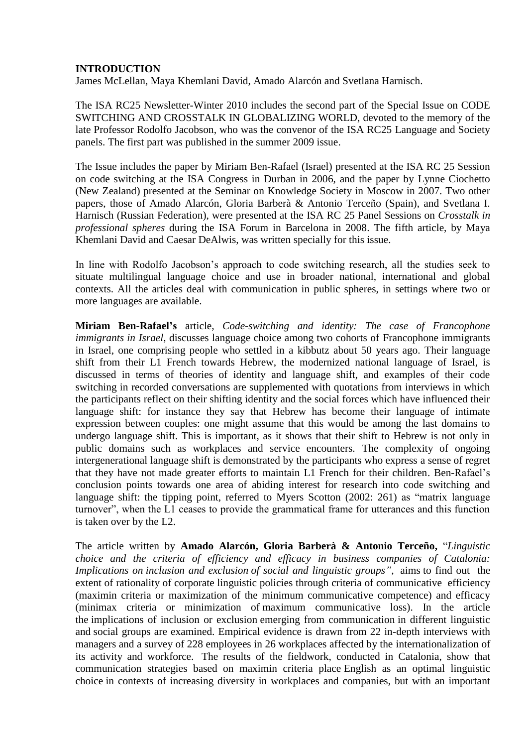## **INTRODUCTION**

James McLellan, Maya Khemlani David, Amado Alarcón and Svetlana Harnisch.

The ISA RC25 Newsletter-Winter 2010 includes the second part of the Special Issue on CODE SWITCHING AND CROSSTALK IN GLOBALIZING WORLD, devoted to the memory of the late Professor Rodolfo Jacobson, who was the convenor of the ISA RC25 Language and Society panels. The first part was published in the summer 2009 issue.

The Issue includes the paper by Miriam Ben-Rafael (Israel) presented at the ISA RC 25 Session on code switching at the ISA Congress in Durban in 2006, and the paper by Lynne Ciochetto (New Zealand) presented at the Seminar on Knowledge Society in Moscow in 2007. Two other papers, those of Amado Alarcón, Gloria Barberà & Antonio Terceño (Spain), and Svetlana I. Harnisch (Russian Federation), were presented at the ISA RC 25 Panel Sessions on *Crosstalk in professional spheres* during the ISA Forum in Barcelona in 2008. The fifth article, by Maya Khemlani David and Caesar DeAlwis, was written specially for this issue.

In line with Rodolfo Jacobson's approach to code switching research, all the studies seek to situate multilingual language choice and use in broader national, international and global contexts. All the articles deal with communication in public spheres, in settings where two or more languages are available.

**Miriam Ben-Rafael's** article, *Code-switching and identity: The case of Francophone immigrants in Israel,* discusses language choice among two cohorts of Francophone immigrants in Israel, one comprising people who settled in a kibbutz about 50 years ago. Their language shift from their L1 French towards Hebrew, the modernized national language of Israel, is discussed in terms of theories of identity and language shift, and examples of their code switching in recorded conversations are supplemented with quotations from interviews in which the participants reflect on their shifting identity and the social forces which have influenced their language shift: for instance they say that Hebrew has become their language of intimate expression between couples: one might assume that this would be among the last domains to undergo language shift. This is important, as it shows that their shift to Hebrew is not only in public domains such as workplaces and service encounters. The complexity of ongoing intergenerational language shift is demonstrated by the participants who express a sense of regret that they have not made greater efforts to maintain L1 French for their children. Ben-Rafael's conclusion points towards one area of abiding interest for research into code switching and language shift: the tipping point, referred to Myers Scotton (2002: 261) as "matrix language turnover", when the L1 ceases to provide the grammatical frame for utterances and this function is taken over by the L2.

The article written by **Amado Alarcón, Gloria Barberà & Antonio Terceño,** "*Linguistic choice and the criteria of efficiency and efficacy in business companies of Catalonia: Implications on inclusion and exclusion of social and linguistic groups",* aims to find out the extent of rationality of corporate linguistic policies through criteria of communicative efficiency (maximin criteria or maximization of the minimum communicative competence) and efficacy (minimax criteria or minimization of maximum communicative loss). In the article the implications of inclusion or exclusion emerging from communication in different linguistic and social groups are examined. Empirical evidence is drawn from 22 in-depth interviews with managers and a survey of 228 employees in 26 workplaces affected by the internationalization of its activity and workforce. The results of the fieldwork, conducted in Catalonia, show that communication strategies based on maximin criteria place English as an optimal linguistic choice in contexts of increasing diversity in workplaces and companies, but with an important